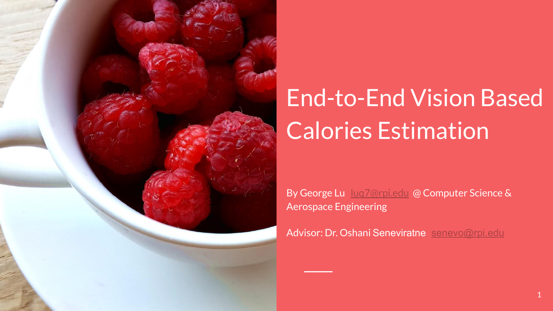

### End-to-End Vision Based Calories Estimation

By George Lu [luq7@rpi.edu](mailto:luq7@rpi.edu) @ Computer Science & Aerospace Engineering

Advisor: Dr. Oshani Seneviratne [senevo@rpi.edu](mailto:senevo@rpi.edu)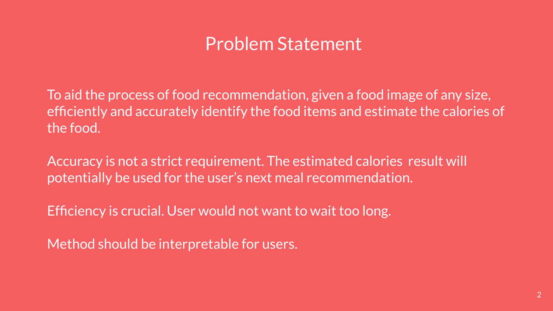#### Problem Statement

To aid the process of food recommendation, given a food image of any size, efficiently and accurately identify the food items and estimate the calories of the food.

Accuracy is not a strict requirement. The estimated calories result will potentially be used for the user's next meal recommendation.

Efficiency is crucial. User would not want to wait too long.

Method should be interpretable for users.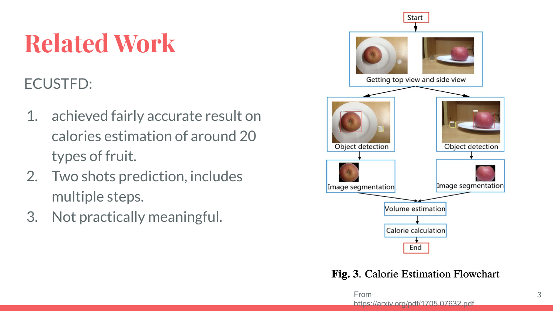## **Related Work**

#### ECUSTFD:

- 1. achieved fairly accurate result on calories estimation of around 20 types of fruit.
- 2. Two shots prediction, includes multiple steps.
- 3. Not practically meaningful.



Fig. 3. Calorie Estimation Flowchart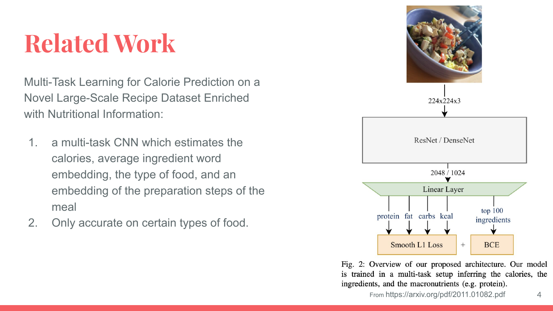#### **Related Work**

Multi-Task Learning for Calorie Prediction on a Novel Large-Scale Recipe Dataset Enriched with Nutritional Information:

- 1. a multi-task CNN which estimates the calories, average ingredient word embedding, the type of food, and an embedding of the preparation steps of the meal
- 2. Only accurate on certain types of food.



Fig. 2: Overview of our proposed architecture. Our model is trained in a multi-task setup inferring the calories, the ingredients, and the macronutrients (e.g. protein).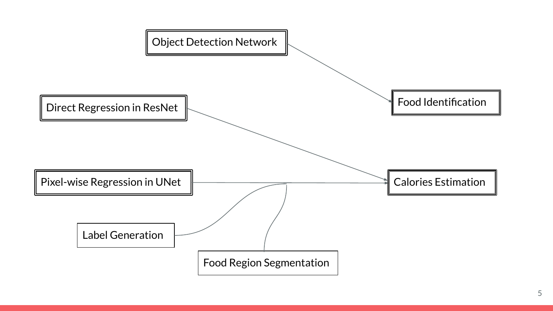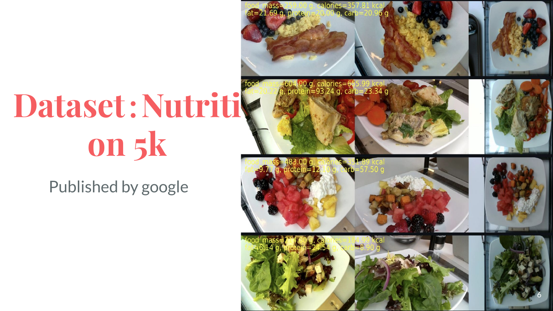# **Dataset**:**Nutriti on 5k**

#### Published by google

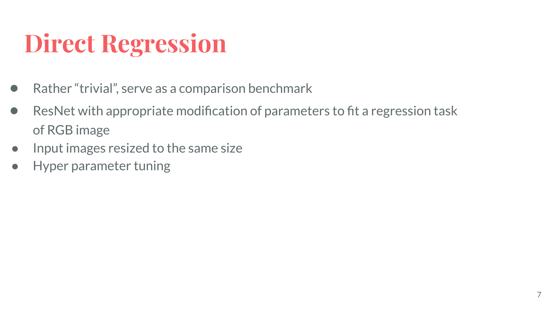### **Direct Regression**

- Rather "trivial", serve as a comparison benchmark
- ResNet with appropriate modification of parameters to fit a regression task of RGB image
- Input images resized to the same size
- **Hyper parameter tuning**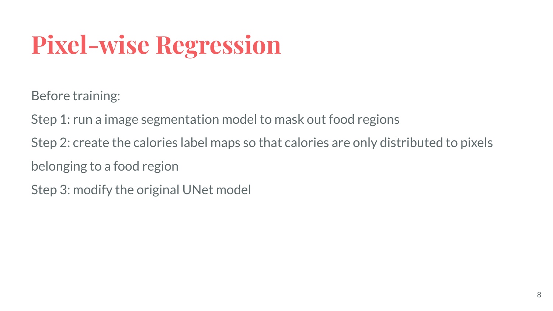## **Pixel-wise Regression**

Before training:

Step 1: run a image segmentation model to mask out food regions

Step 2: create the calories label maps so that calories are only distributed to pixels

belonging to a food region

Step 3: modify the original UNet model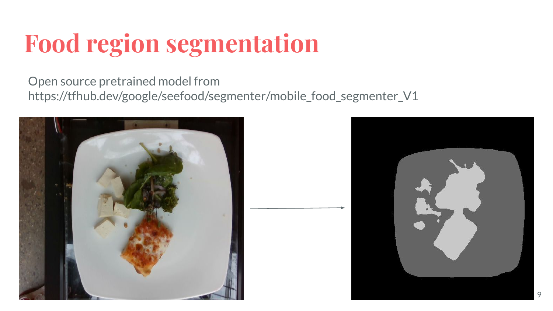## **Food region segmentation**

Open source pretrained model from https://tfhub.dev/google/seefood/segmenter/mobile\_food\_segmenter\_V1



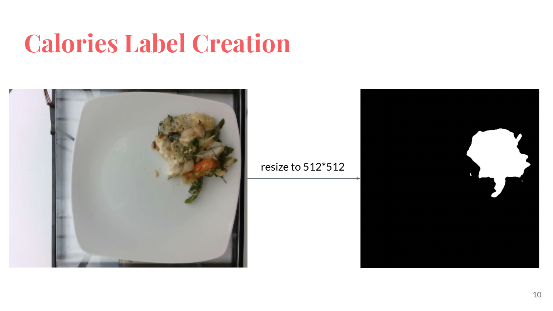#### **Calories Label Creation**



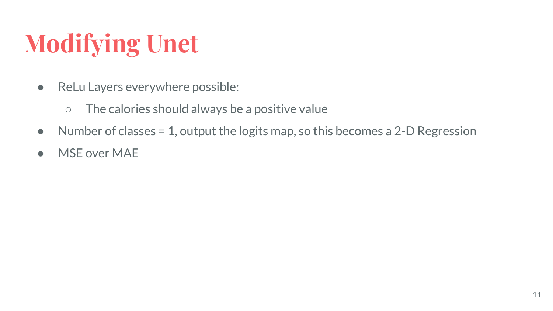## **Modifying Unet**

- ReLu Layers everywhere possible:
	- The calories should always be a positive value
- Number of classes = 1, output the logits map, so this becomes a 2-D Regression
- MSE over MAE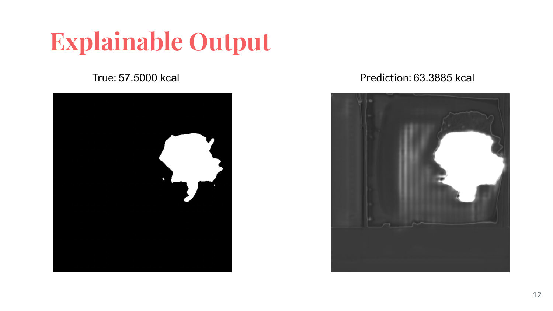#### **Explainable Output**



#### True: 57.5000 kcal Prediction: 63.3885 kcal

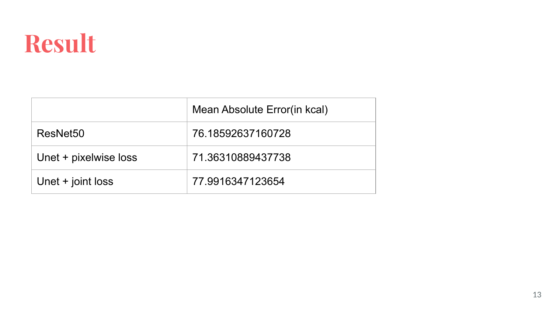#### **Result**

|                       | Mean Absolute Error(in kcal) |
|-----------------------|------------------------------|
| ResNet <sub>50</sub>  | 76.18592637160728            |
| Unet + pixelwise loss | 71.36310889437738            |
| Unet + joint loss     | 77.9916347123654             |